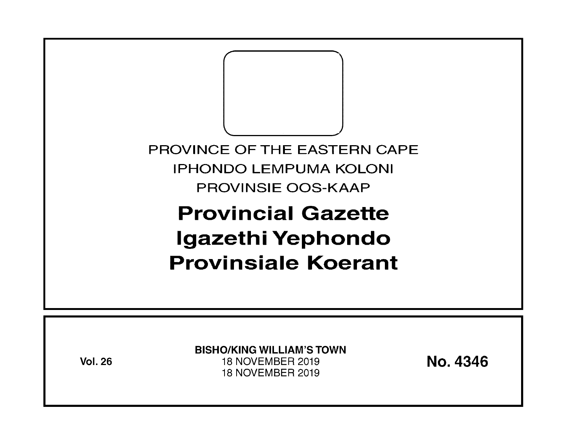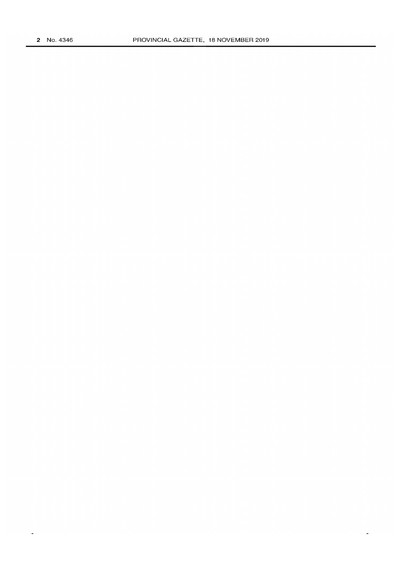$\Box$ 

 $\overline{\phantom{a}}$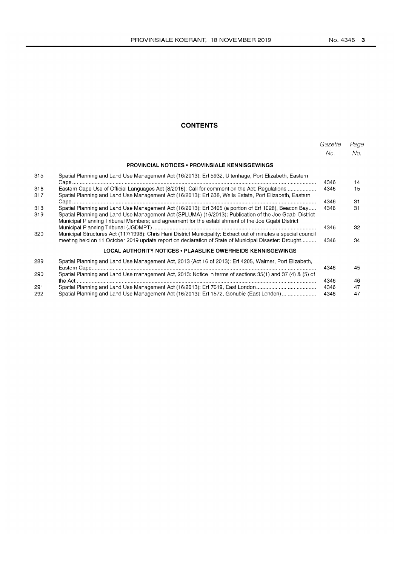# **CONTENTS**

|            |                                                                                                                                                                                                                                                                                                                      | Gazette<br>No. | Page<br>No. |
|------------|----------------------------------------------------------------------------------------------------------------------------------------------------------------------------------------------------------------------------------------------------------------------------------------------------------------------|----------------|-------------|
|            | <b>PROVINCIAL NOTICES • PROVINSIALE KENNISGEWINGS</b>                                                                                                                                                                                                                                                                |                |             |
| 315        | Spatial Planning and Land Use Management Act (16/2013): Erf 5932, Uitenhage, Port Elizabeth, Eastern                                                                                                                                                                                                                 |                |             |
|            |                                                                                                                                                                                                                                                                                                                      | 4346           | 14          |
| 316<br>317 | Eastern Cape Use of Official Languages Act (8/2016): Call for comment on the Act: Regulations<br>Spatial Planning and Land Use Management Act (16/2013): Erf 638, Wells Estate, Port Elizabeth, Eastern                                                                                                              | 4346           | 15          |
|            |                                                                                                                                                                                                                                                                                                                      | 4346           | 31          |
| 318<br>319 | Spatial Planning and Land Use Management Act (16/2013): Erf 3405 (a portion of Erf 1028). Beacon Bay<br>Spatial Planning and Land Use Management Act (SPLUMA) (16/2013): Publication of the Joe Gqabi District<br>Municipal Planning Tribunal Members; and agreement for the establishment of the Joe Ggabi District | 4346           | 31          |
| 320        | Municipal Structures Act (117/1998): Chris Hani District Municipality: Extract out of minutes a special council                                                                                                                                                                                                      | 4346           | 32          |
|            | meeting held on 11 October 2019 update report on declaration of State of Municipal Disaster: Drought                                                                                                                                                                                                                 | 4346           | 34          |
|            | LOCAL AUTHORITY NOTICES • PLAASLIKE OWERHEIDS KENNISGEWINGS                                                                                                                                                                                                                                                          |                |             |
| 289        | Spatial Planning and Land Use Management Act, 2013 (Act 16 of 2013): Erf 4205, Walmer, Port Elizabeth,                                                                                                                                                                                                               | 4346           | 45          |
| 290        | Spatial Planning and Land Use management Act, 2013: Notice in terms of sections 35(1) and 37 (4) & (5) of                                                                                                                                                                                                            |                |             |
|            |                                                                                                                                                                                                                                                                                                                      | 4346           | 46          |
| 291        |                                                                                                                                                                                                                                                                                                                      | 4346           | 47          |
| 292        | Spatial Planning and Land Use Management Act (16/2013): Erf 1572, Gonubie (East London)                                                                                                                                                                                                                              | 4346           | 47          |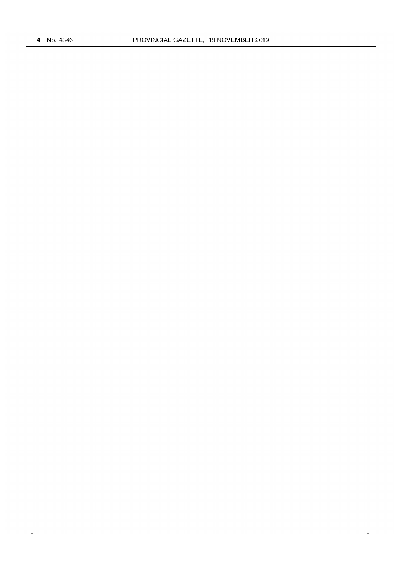$\Box$ 

 $\tilde{\phantom{a}}$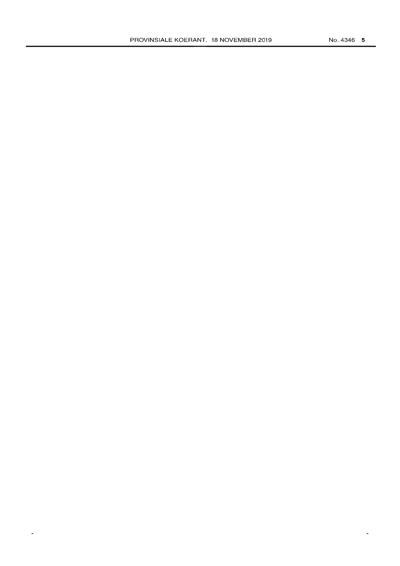$\ddot{\phantom{a}}$ 

 $\tilde{\phantom{a}}$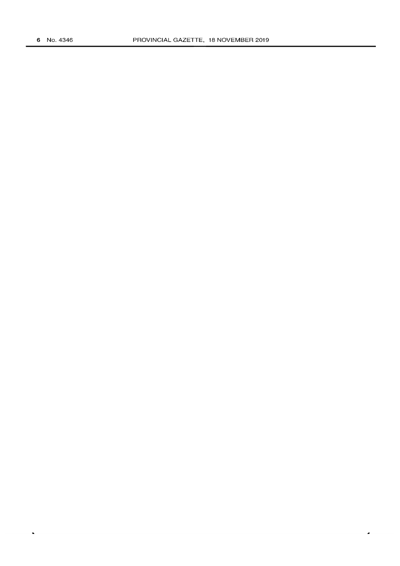$\hat{\mathbf{z}}$ 

 $\pmb{\mathcal{L}}$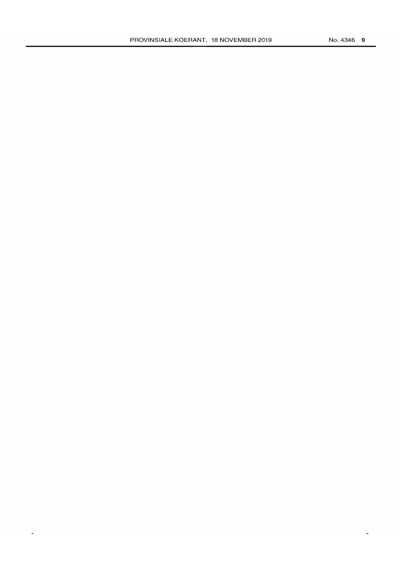$\ddot{\phantom{a}}$ 

 $\tilde{\phantom{a}}$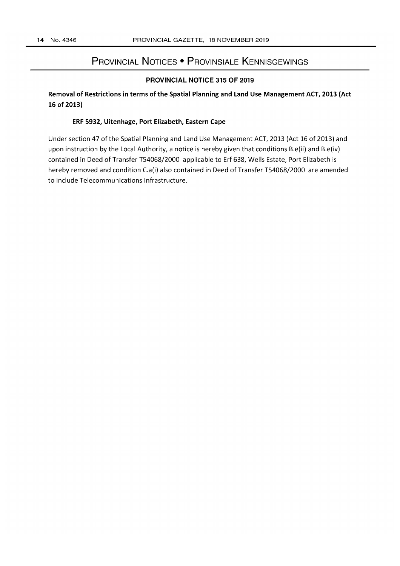# **PROVINCIAL NOTICES • PROVINSIALE KENNISGEWINGS**

# **PROVINCIAL NOTICE 315 OF 2019**

# **Removal of Restrictions in terms of the Spatial Planning and Land Use Management ACT, 2013 (Act 16 of 2013)**

# **ERF 5932, Uitenhage, Port Elizabeth, Eastern Cape**

Under section 47 of the Spatial Planning and Land Use Management ACT, 2013 (Act 16 of 2013) and upon instruction by the Local Authority, a notice is hereby given that conditions B.e(ii) and B.e(iv) contained in Deed of Transfer T54068/2000 applicable to Erf 638, Wells Estate, Port Elizabeth is hereby removed and condition C.a(i) also contained in Deed of Transfer T54068/2000 are amended to include Telecommunications Infrastructure.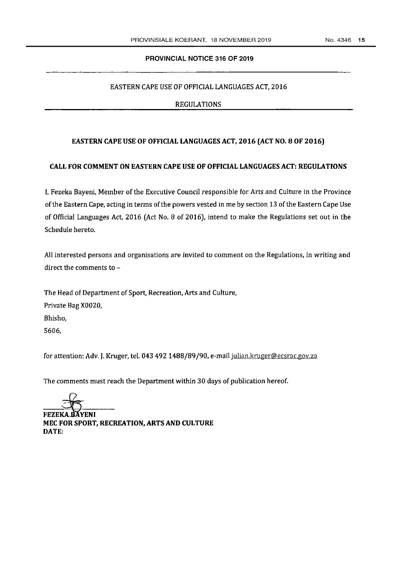# PROVINCIAL NOTICE 316 OF 2019

# EASTERN CAPE USE OF OFFICIAL LANGUAGES ACT, 2016

# REGULATIONS

# EASTERN CAPE USE OF OFFICIAL LANGUAGES ACT, 2016 (ACT NO.8 OF 2016)

# CALL FOR COMMENT ON EASTERN CAPE USE OF OFFICIAL LANGUAGES ACT: REGULATIONS

I, Fezeka Bayeni, Member of the Executive Council responsible for Arts and Culture in the Province of the Eastern Cape, acting in terms of the powers vested in me by section 13 of the Eastern Cape Use of Official Languages Act, 2016 (Act No.8 of 2016), intend to make the Regulations set out in the Schedule hereto.

All interested persons and organisations are invited to comment on the Regulations, in writing and direct the comments to -

The Head of Department of Sport, Recreation, Arts and Culture, Private Bag X0020, Bhisho, 5606,

for attention: Adv. J. Kruger, tel. 043 492 1488/89/90, e-mail julian.kruger@ecsrac.goy.za

The comments must reach the Department within 30 days of publication hereof.

**FEZEKA** (VENI MEC FOR SPORT, RECREATION, ARTS AND CULTURE DATE: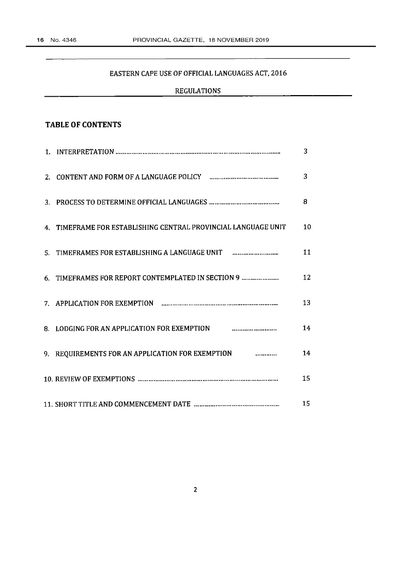## REGULATIONS

# **TABLE OF CONTENTS**

|                                                                              | 3  |
|------------------------------------------------------------------------------|----|
|                                                                              | 3  |
|                                                                              | 8  |
| 4. TIMEFRAME FOR ESTABLISHING CENTRAL PROVINCIAL LANGUAGE UNIT               | 10 |
| 5. TIMEFRAMES FOR ESTABLISHING A LANGUAGE UNIT                               | 11 |
| 6. TIMEFRAMES FOR REPORT CONTEMPLATED IN SECTION 9                           | 12 |
|                                                                              | 13 |
| 8. LODGING FOR AN APPLICATION FOR EXEMPTION FRAME ACCORDING THE RESOLUTION   | 14 |
| 9. REQUIREMENTS FOR AN APPLICATION FOR EXEMPTION FRAME ALL ALL ALL ASSESSED. | 14 |
|                                                                              | 15 |
|                                                                              | 15 |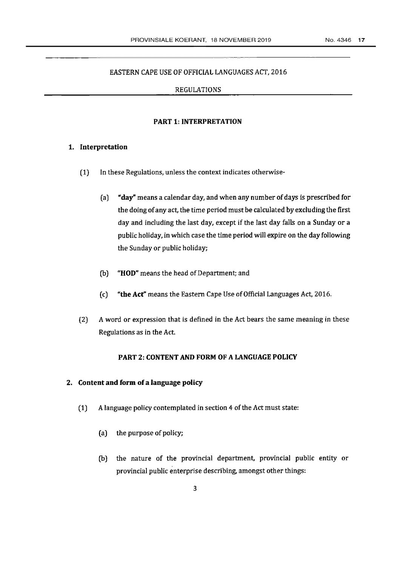#### REGULATIONS

# PART 1: INTERPRETATION

## 1. Interpretation

- (1) In these Regulations, unless the context indicates otherwise-
	- (a) "day" means a calendar day, and when any number of days is prescribed for the doing of any act, the time period must be calculated by excluding the first day and including the last day, except if the last day falls on a Sunday or a public holiday, in which case the time period will expire on the day following the Sunday or public holiday;
	- (b) "HOD" means the head of Department; and
	- (c) "the Act" means the Eastern Cape Use of Official Languages Act, 2016.
- (2) A word or expression that is defined in the Act bears the same meaning in these Regulations as in the Act.

## PART 2: CONTENT AND FORM OF A LANGUAGE POLICY

## 2. Content and form of a language policy

- (1) A language policy contemplated in section 4 of the Act must state:
	- (a) the purpose of policy;
	- (b) the nature of the provincial department, provincial public entity or provincial public enterprise describing, amongst other things: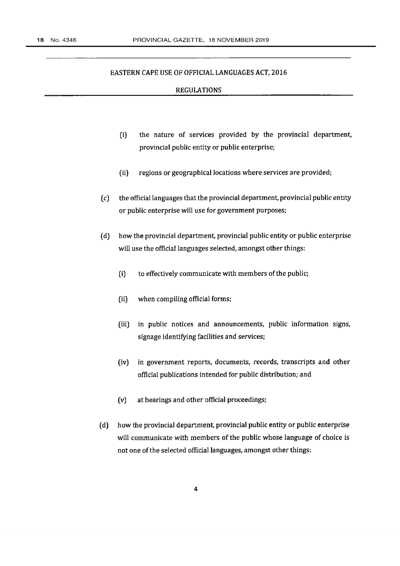- (i) the nature of services provided by the provincial department, provincial public entity or public enterprise;
- (ii) regions or geographical locations where services are provided;
- (c) the official languages thatthe provincial department, provincial public entity or public enterprise will use for government purposes;
- (d) how the provincial department, provincial public entity or public enterprise will use the official languages selected, amongst other things:
	- (i) to effectively communicate with members of the public;
	- (ii) when compiling official forms;
	- (iii) in public notices and announcements, public information signs, signage identifying facilities and services;
	- (iv) in government reports, documents, records, transcripts and other official publications intended for public distribution; and
	- (v) at hearings and other official proceedings;
- (d) how the provincial department, provincial public entity or public enterprise will communicate with members of the public whose language of choice is not one of the selected official languages, amongst other things: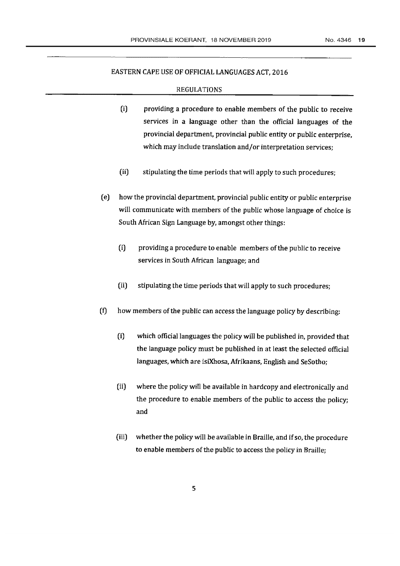- (i) providing a procedure to enable members of the public to receive services in a language other than the official languages of the provincial department, provincial public entity or public enterprise, which may include translation and/or interpretation services;
- (ii) stipulating the time periods that will apply to such procedures;
- (e) how the provincial department, provincial public entity or public enterprise will communicate with members of the public whose language of choice is South African Sign Language by, amongst other things:
	- (i) providing a procedure to enable members of the public to receive services in South African language; and
	- (ii) stipulating the time periods that will apply to such procedures;
- (f) how members of the public can access the language policy by describing:
	- $(i)$  which official languages the policy will be published in, provided that the language policy must be published in at least the selected official languages, which are isiXhosa, Afrikaans, English and SeSotho;
	- (ii) where the policy will be available in hardcopy and electronically and the procedure to enable members of the public to access the policy; and
	- (iii) whether the policy will be available in Braille, and if so, the procedure to enable members of the public to access the policy in Braille;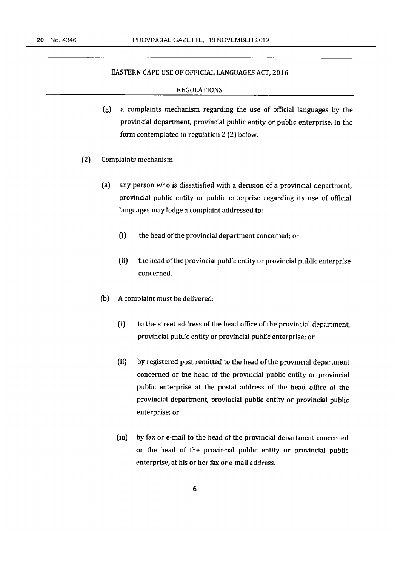- (g) a complaints mechanism regarding the use of official languages by the provincial department, provincial public entity or public enterprise, in the form contemplated in regulation 2 (2) below.
- (2) Complaints mechanism
	- (a) any person who is dissatisfied with a decision of a provincial department, provincial public entity or public enterprise regarding its use of official languages may lodge a complaint addressed to;
		- (i) the head of the provincial department concerned; or
		- (ii) the head of the provincial public entity or provincial public enterprise concerned.
	- (b) A complaint must be delivered:
		- (i) to the street address of the head office of the provincial department, provincial public entity or provincial public enterprise; or
		- (ii) by registered post remitted to the head of the provincial department concerned or the head of the provincial public entity or provincial public enterprise at the postal address of the head office of the provincial department, provincial public entity or provincial public enterprise; or
		- (iii) by fax or e-mail to the head of the provincial department concerned or the head of the provincial public entity or provincial public enterprise, at his or her fax or e-mail address.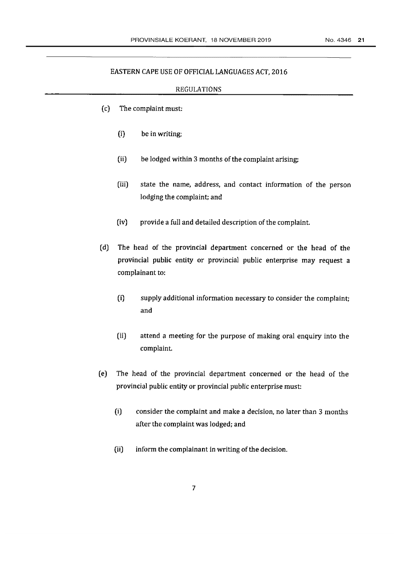- (c) The complaint must:
	- (i) be in writing;
	- (ii) be lodged within 3 months of the complaint arising;
	- (iii) state the name, address, and contact information of the person lodging the complaint; and
	- (iv) provide a full and detailed description of the complaint.
- (d) The head of the provincial department concerned or the head of the provincial public entity or provincial public enterprise may request a complainant to:
	- (i) supply additional information necessary to consider the complaint; and
	- (ii) attend a meeting for the purpose of making oral enquiry into the complaint.
- (e) The head of the provincial department concerned or the head of the provincial public entity or provincial public enterprise must:
	- (i) consider the complaint and make a decision, no later than 3 months after the complaint was lodged; and
	- (ii) inform the complainant in writing of the decision.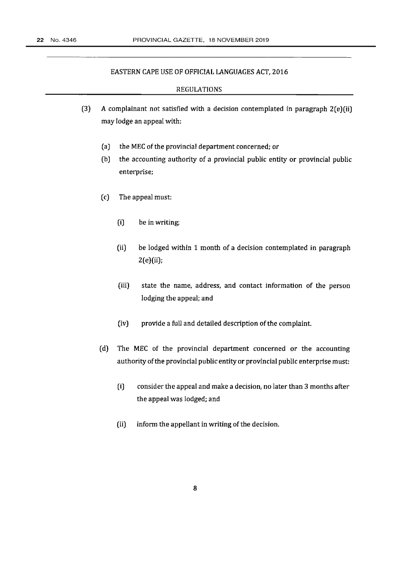- (3) A complainant not satisfied with a decision contemplated in paragraph 2(e)(ii) may lodge an appeal with:
	- (a) the MEC of the provincial department concerned; or
	- (b) the accounting authority of a provincial public entity or provincial public enterprise;
	- (c) The appeal must:
		- (i) be in writing;
		- (ii) be lodged within 1 month of a decision contemplated **in** paragraph 2(e)(ii);
		- (iii) state the name, address, and contact information of the person lodging the appeal; and
		- (iv) provide a full and detailed description of the complaint.
	- (d) The MEC of the provincial department concerned or the accounting authority of the provincial public entity or provincial public enterprise must:
		- (i) consider the appeal and make a decision, no later than 3 months after the appeal was lodged; and
		- (ii) inform the appellant in writing of the decision.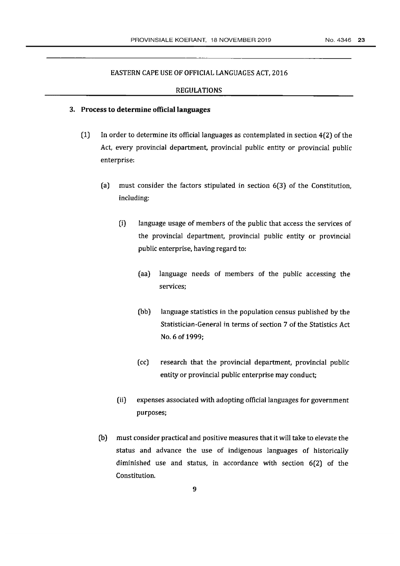#### REGULATIONS

## 3. Process to determine official languages

- (1) In order to determine its official languages as contemplated in section 4(2) of the Act, every provincial department, provincial public entity or provincial public enterprise:
	- (a) must consider the factors stipulated in section 6(3) of the Constitution, including:
		- (i) language usage of members of the public that access the services of the provincial department, provincial public entity or provincial public enterprise, having regard to:
			- (aa) language needs of members of the public accessing the services;
			- (bb) language statistics in the population census published by the Statistician-General in terms of section 7 of the Statistics Act No. 6 of 1999;
			- (cc) research that the provincial department, provincial public entity or provincial public enterprise may conduct;
		- (ii) expenses associated with adopting official languages for government purposes;
	- (b) must consider practical and positive measures that it will take to elevate the status and advance the use of indigenous languages of historically diminished use and status, in accordance with section 6(2) of the Constitution.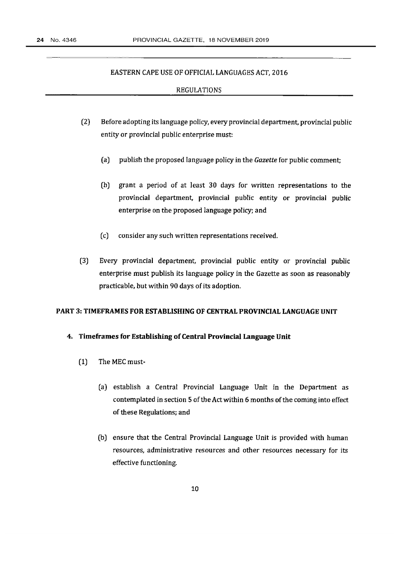#### **REGULATIONS**

- (2) Before adopting its language policy, every provincial department, provincial public entity or provincial public enterprise must:
	- (a) publish the proposed language policy in the *Gazette* for public comment;
	- (b) grant a period of at least 30 days for written representations to the provincial department, provincial public entity or provincial public enterprise on the proposed language policy; and
	- (c) consider any such written representations received.
- (3) Every provincial department, provincial public entity or provincial public enterprise must publish its language policy in the Gazette as soon as reasonably practicable, but within 90 days of its adoption.

#### **PART 3: TIMEFRAMES FOR ESTABLISHING OF CENTRAL PROVINCIAL LANGUAGE UNIT**

## 4. **Timeframes for Establishing of Central Provincial Language Unit**

- (1) The MEC must-
	- (a) establish a Central Provincial Language Unit in the Department as contemplated in section 5 of the Act within 6 months of the coming into effect of these Regulations; and
	- (b) ensure that the Central Provincial Language Unit is provided with human resources, administrative resources and other resources necessary for its effective functioning.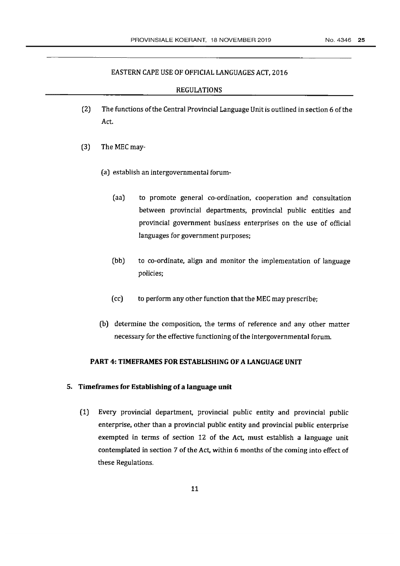#### REGULATIONS

- (2) The functions of the Central Provincial Language Unit is outlined in section 6 of the Act.
- (3) The MEC may-
	- (a) establish an intergovernmental forum-
		- (aa) to promote general co-ordination, cooperation and consultation between provincial departments. provincial public entities and provincial government business enterprises on the use of official languages for government purposes;
		- (bb) to co-ordinate, align and monitor the implementation of language policies;
		- (cc) to perform any other function that the MEC may prescribe;
	- (b) determine the composition, the terms of reference and any other matter necessary for the effective functioning of the intergovernmental forum.

## **PART 4: TIMEFRAMES FOR ESTABLISHING OF A LANGUAGE UNIT**

## **5. Timeframes for Establishing of a language unit**

(1) Every provincial department, provincial public entity and provincial public enterprise, other than a provincial public entity and provincial public enterprise exempted in terms of section 12 of the Act, must establish a language unit contemplated in section 7 of the Act, within 6 months of the coming into effect of these Regulations.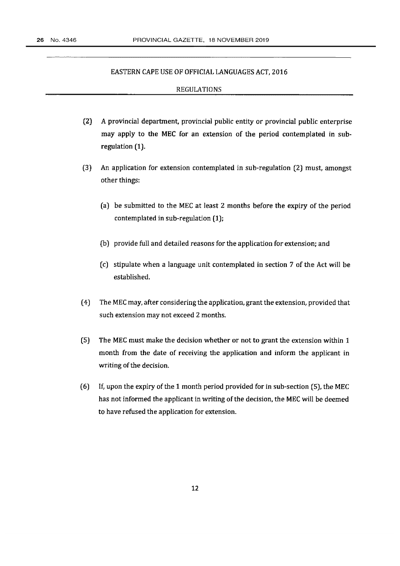- (2) A provincial department, provincial public entity or provincial public enterprise may apply to the MEC for an extension of the period contemplated in subregulation (1).
- (3) An application for extension contemplated in sub-regulation (2) must, amongst other things:
	- (a) be submitted to the MEC at least 2 months before the expiry of the period contemplated in sub-regulation (1);
	- (b) provide full and detailed reasons for the application for extension; and
	- (c) stipulate when a language unit contemplated in section 7 of the Act will be established.
- (4) The MEC may, after considering the application, grant the extension, provided that such extension may not exceed 2 months.
- (5) The MEC must make the decision whether or not to grant the extension within 1 month from the date of receiving the application and inform the applicant in writing of the decision.
- (6) If, upon the expiry of the 1 month period provided for in sub-section (5), the MEC has not informed the applicant in writing of the decision, the MEC will be deemed to have refused the application for extension.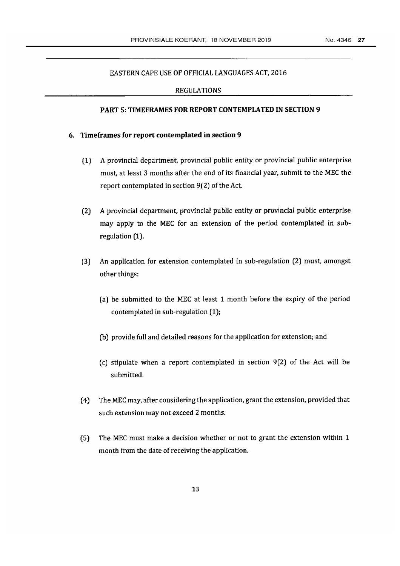#### REGULATIONS

## **PART 5: TIMEFRAMES FOR REPORT CONTEMPLATED IN SECTION 9**

# 6. **Timeframes for report contemplated in section 9**

- (1) A provincial department, provincial public entity or provincial public enterprise must, at least 3 months after the end of its financial year, submit to the MEC the report contemplated in section 9(2) of the Act.
- (2) A provincial department, provincial public entity or provincial public enterprise may apply to the MEC for an extension of the period contemplated in subregulation (1).
- (3) An application for extension contemplated in sub-regulation (2) must, amongst other things:
	- (a) be submitted to the MEC at least 1 month before the expiry of the period contemplated in sub-regulation (1);
	- (b) provide full and detailed reasons for the application for extension; and
	- (c) stipulate when a report contemplated in section 9(2) of the Act will be submitted.
- (4) The MEC may, after considering the application, grant the extension, provided that such extension may not exceed 2 months.
- (5) The MEC must make a decision whether or not to grant the extension within 1 month from the date of receiving the application.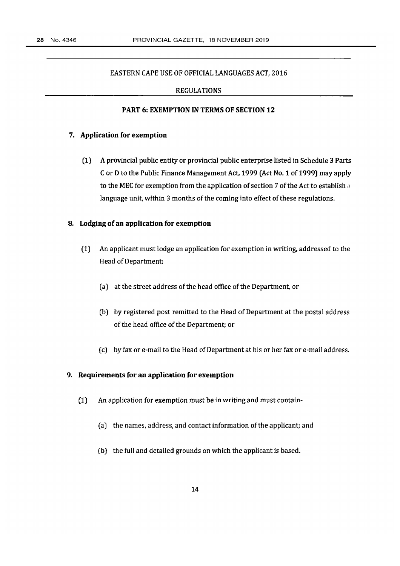#### REGULATIONS

#### PART 6: EXEMPTION IN TERMS OF SECTION 12

#### 7. Application for exemption

(1) A provincial public entity or provincial pubJic enterprise listed in Schedule 3 Parts C or D to the Public Finance Management Act, 1999 (Act No.1 of 1999) may apply to the MEC for exemption from the application of section 7 of the Act to establish  $\alpha$ language unit, within 3 months of the coming into effect of these regulations.

## B. Lodging of an application for exemption

- (1) An applicant must lodge an application for exemption in writing, addressed to the Head of Department:
	- (a) at the street address of the head office of the Department, or
	- (b) by registered post remitted to the Head of Department at the postal address of the head office of the Department; or
	- (c) by fax or e-mail to the Head of Department at his or her fax or e-mail address.

#### 9. Requirements for an application for exemption

- (1) An application for exemption must be in writing and must contain-
	- (a) the names, address, and contact information of the applicant; and
	- (b) the full and detailed grounds on which the applicant is based.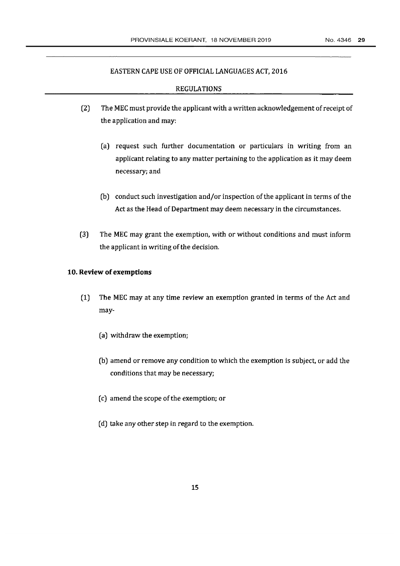#### **REGULATIONS**

- (2) The MEC must provide the applicant with a written acknowledgement of receipt of the application and may:
	- (a) request such further documentation or particulars in writing from an applicant relating to any matter pertaining to the application as it may deem necessary; and
	- (b) conduct such investigation and/or inspection of the applicant in terms of the Act as the Head of Department may deem necessary in the circumstances.
- (3) The MEC may grant the exemption, with or without conditions and must inform the applicant in writing of the decision.

#### **10. Review of exemptions**

- (1) The MEC may at any time review an exemption granted in terms of the Act and may-
	- (a) withdraw the exemption;
	- (b) amend or remove any condition to which the exemption is subject. or add the conditions that may be necessary;
	- (c) amend the scope of the exemption; or
	- (d) take any other step in regard to the exemption.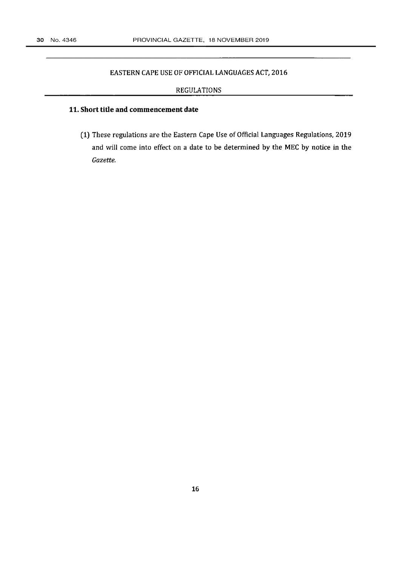## REGULATIONS

# 11. Short title and commencement date

(1) These regulations are the Eastern Cape Use of Official Languages Regulations, 2019 and will come into effect on a date to be determined by the MEC by notice in the *Gazette.*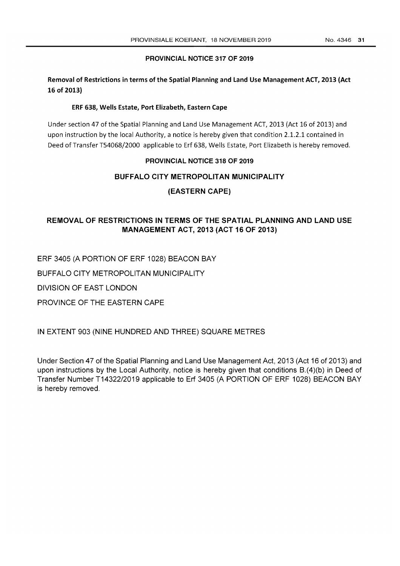# PROVINCIAL NOTICE 317 OF 2019

# Removal of Restrictions in terms of the Spatial Planning and Land Use Management ACT, 2013 (Act 16 of 2013)

# ERF 638, Wells Estate, Port Elizabeth, Eastern Cape

Under section 47 of the Spatial Planning and Land Use Management ACT, 2013 (Act 16 of 2013) and upon instruction by the local Authority, a notice is hereby given that condition 2.1.2.1 contained in Deed of Transfer T54068/2000 applicable to Erf 638, Wells Estate, Port Elizabeth is hereby removed.

# PROVINCIAL NOTICE 318 OF 2019

# BUFFALO CITY METROPOLITAN MUNICIPALITY

# (EASTERN CAPE)

# REMOVAL OF RESTRICTIONS IN TERMS OF THE SPATIAL PLANNING AND LAND USE MANAGEMENT ACT, 2013 (ACT 16 OF 2013)

ERF 3405 (A PORTION OF ERF 1028) BEACON BAY

BUFFALO CITY METROPOLITAN MUNICIPALITY

DIVISION OF EAST LONDON

PROVINCE OF THE EASTERN CAPE

IN EXTENT 903 (NINE HUNDRED AND THREE) SQUARE METRES

Under Section 47 of the Spatial Planning and Land Use Management Act, 2013 (Act 16 of 2013) and upon instructions by the Local Authority, notice is hereby given that conditions B.(4)(b) in Deed of Transfer Number T14322/2019 applicable to Erf 3405 (A PORTION OF ERF 1028) BEACON BAY is hereby removed.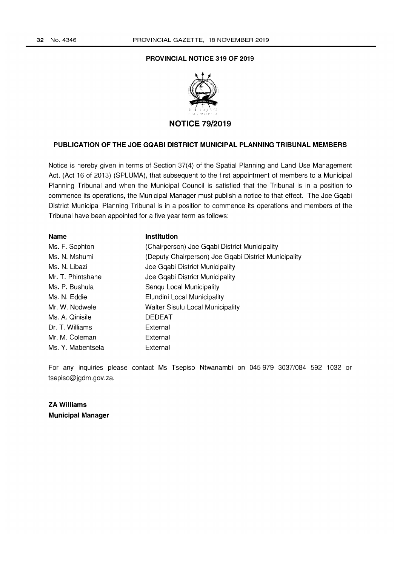## **PROVINCIAL NOTICE 319 OF 2019**



**NOTICE 79/2019** 

## **PUBLICATION OF THE JOE GQABI DISTRICT MUNICIPAL PLANNING TRIBUNAL MEMBERS**

Notice is hereby given in terms of Section 37(4) of the Spatial Planning and Land Use Management Act, (Act 16 of 2013) (SPLUMA), that subsequent to the first appointment of members to a Municipal Planning Tribunal and when the Municipal Council is satisfied that the Tribunal is in a position to commence its operations, the Municipal Manager must publish a notice to that effect. The Joe Gqabi District Municipal Planning Tribunal is in a position to commence its operations and members of the Tribunal have been appointed for a five year term as follows:

| <b>Name</b>       | <b>Institution</b>                                   |
|-------------------|------------------------------------------------------|
| Ms. F. Sephton    | (Chairperson) Joe Gqabi District Municipality        |
| Ms. N. Mshumi     | (Deputy Chairperson) Joe Gqabi District Municipality |
| Ms. N. Libazi     | Joe Gqabi District Municipality                      |
| Mr. T. Phintshane | Joe Gqabi District Municipality                      |
| Ms. P. Bushula    | Sengu Local Municipality                             |
| Ms. N. Eddie      | Elundini Local Municipality                          |
| Mr. W. Nodwele    | <b>Walter Sisulu Local Municipality</b>              |
| Ms. A. Qinisile   | <b>DEDEAT</b>                                        |
| Dr. T. Williams   | External                                             |
| Mr. M. Coleman    | External                                             |
| Ms. Y. Mabentsela | External                                             |

For any inquiries please contact Ms Tsepiso Ntwanambi on 045979 *3037/084* 592 1032 or tsepiso@jgdm.gov.za.

**ZA Williams Municipal Manager**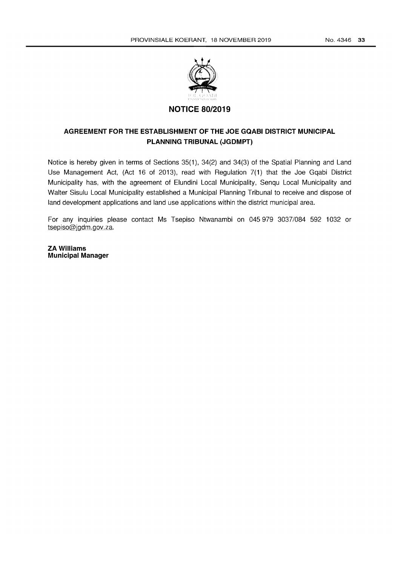

# **NOTICE 80/2019**

# **AGREEMENT FOR THE ESTABLISHMENT OF THE JOE GQABI DISTRICT MUNICIPAL PLANNING TRIBUNAL (JGDMPT)**

Notice is hereby given in terms of Sections 35(1), 34(2) and 34(3) of the Spatial Planning and Land Use Management Act, (Act 16 of 2013), read with Regulation 7(1) that the Joe Gqabi District Municipality has, with the agreement of Elundini Local Municipality, Senqu Local Municipality and Walter Sisulu Local Municipality established a Municipal Planning Tribunal to receive and dispose of land development applications and land use applications within the district municipal area.

For any inquiries please contact Ms Tsepiso Ntwanambi on 045979 *3037/084* 592 1032 or tsepiso@jgdm.gov.za.

**ZA Williams Municipal Manager**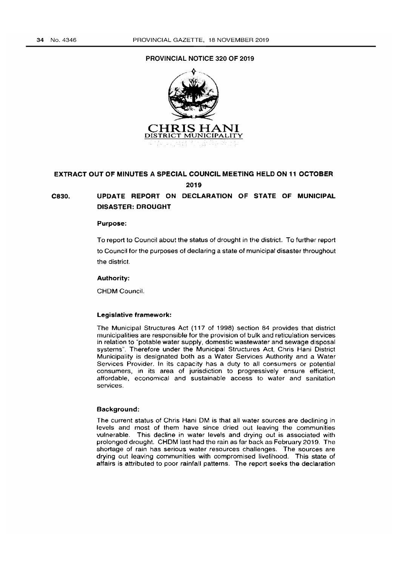#### PROVINCIAL NOTICE 320 OF 2019



# EXTRACT OUT OF MINUTES A SPECIAL COUNCIL MEETING HELD ON 11 OCTOBER 2019

ca30. UPDATE REPORT ON DECLARATION OF STATE OF MUNICIPAL DISASTER: DROUGHT

#### Purpose:

To report to Council about the status of drought in the district. To further report to Council tor the purposes ot declaring a state of municipal disaster throughout the district.

#### Authority:

CHDM Council.

#### Legislative framework:

The Municipal Structures Act (117 of 1998) section 84 provides that district municipalities are responsible for the provision of bulk and reticulation services in relation to "potable water supply, domestic wastewater and sewage disposal systems". Therefore under the Municipal Structures Act. Chris Hani District Municipality is designated both as a Water Services Authority and a Water Services Provider. In its capacity has a duty to all consumers or potential consumers, in its area of jurisdiction to progressively ensure efficient, affordable, economical and sustainable access to water and sanitation services.

#### Background:

The current status of Chris Hani OM is that all water sources are declining in levels and most of them have since dried out leaving the communities vulnerable. This decline in water levels and drying out is associated with prolonged drought. CHDM last had the rain as far back as February 2019. The shortage of rain has serious water resources challenges. The sources are drying out leaving communities with compromised livelihood. This state of affairs is attributed to poor rainfall patterns. The report seeks the declaration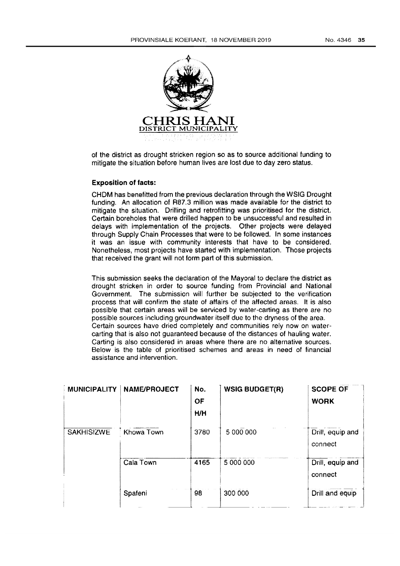

of the district as drought stricken region so as to source additional funding to mitigate the situation before human lives are lost due to day zero status.

#### Exposition of facts:

CHDM has benefitted from the previous declaration through the WSIG Drought funding. An allocation of R87.3 million was made available for the district to mitigate the situation. Drilling and retrofitting was prioritised for the district. Certain boreholes that were drifted happen to be unsuccessful and resulted in delays with implementation of the projects. Other projects were delayed through Supply Chain Processes that were to be followed. In some instances it was an issue with community interests that have to be considered. Nonetheless, most projects have started with implementation. Those projects that received the grant will not form part of this submission.

This submission seeks the declaration of the Mayoral to declare the district as drought stricken in order to source funding from Provincial and National Government. The submission will further be subjected to the verification process that will confirm the state of affairs of the affected areas. It is also possible that certain areas will be serviced by water-carting as there are no possible sources including groundwater itself due to the dryness of the area. Certain sources have dried completely and communities rely now on watercarting that is also not guaranteed because of the distances of hauling water. Carting is also considered in areas where there are no alternative sources. Below is the table of prioritised schemes and areas in need of financial assistance and intervention.

| <b>MUNICIPALITY</b> | <b>NAME/PROJECT</b> | No.<br><b>OF</b><br><b>H/H</b> | <b>WSIG BUDGET(R)</b> | <b>SCOPE OF</b><br><b>WORK</b> |
|---------------------|---------------------|--------------------------------|-----------------------|--------------------------------|
| <b>SAKHISIZWE</b>   | Khowa Town          | 3780                           | 5 000 000             | Drill, equip and<br>connect    |
|                     | Cala Town           | 4165                           | 5 000 000             | Drill, equip and<br>connect    |
|                     | Spafeni             | 98                             | 300 000               | Drill and equip                |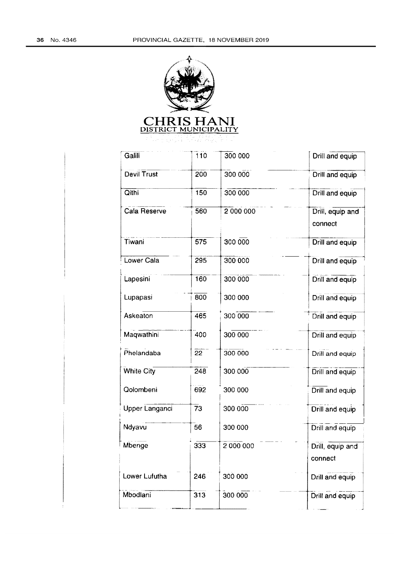

| Galili             | 110 | 300 000   | Drill and equip             |
|--------------------|-----|-----------|-----------------------------|
| <b>Devil Trust</b> | 200 | 300 000   | Drill and equip             |
| Qithi              | 150 | 300 000   | Drill and equip             |
| Cala Reserve       | 560 | 2 000 000 | Drill, equip and<br>connect |
| Tiwani             | 575 | 300 000   | Drill and equip             |
| Lower Cala         | 295 | 300 000   | Drill and equip             |
| Lapesini           | 160 | 300 000   | Drill and equip             |
| Lupapasi           | 800 | 300 000   | Drill and equip             |
| Askeaton           | 465 | 300 000   | Drill and equip             |
| Maqwathini         | 400 | 300 000   | Drill and equip             |
| Phelandaba         | 22  | 300 000   | Drill and equip             |
| White City         | 248 | 300 000   | Drill and equip             |
| Qolombeni          | 692 | 300 000   | Drill and equip             |
| Upper Langanci     | 73  | 300 000   | Drill and equip             |
| Ndyavu             | 56  | 300 000   | Drill and equip             |
| Mbenge             | 333 | 2 000 000 | Drill, equip and            |
|                    |     |           | connect                     |
| Lower Lufutha      | 246 | 300 000   | Drill and equip             |
| Mbodlani           | 313 | 300 000   | Drill and equip             |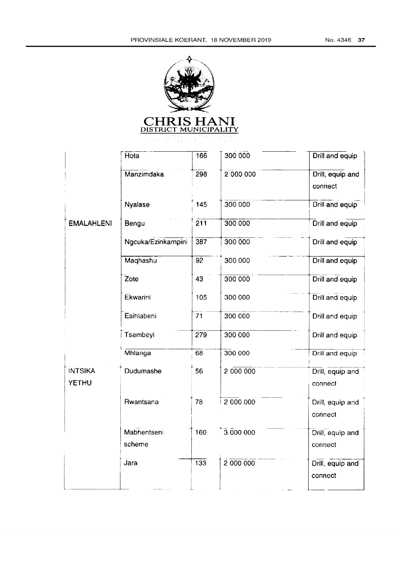



|                                | <b>Hota</b>           | 166             | 300 000   | Drill and equip             |
|--------------------------------|-----------------------|-----------------|-----------|-----------------------------|
|                                | <b>Manzimdaka</b>     | 298             | 2 000 000 | Drill, equip and<br>connect |
|                                | Nyalase               | 145             | 300 000   | Drill and equip             |
| <b>EMALAHLENI</b>              | Bengu                 | 211             | 300 000   | Drill and equip             |
|                                | Ngcuka/Ezinkampini    | 387             | 300 000   | Drill and equip             |
|                                | Maghashu              | 92              | 300 000   | Drill and equip             |
|                                | Zote                  | 43              | 300 000   | Drill and equip             |
|                                | Ekwarini              | 105             | 300 000   | Drill and equip             |
|                                | Esihlabeni            | $\overline{71}$ | 300 000   | Drill and equip             |
|                                | Tsembeyi              | 279             | 300 000   | Drill and equip             |
|                                | Mhlanga               | $\overline{68}$ | 300 000   | Drill and equip             |
| <b>INTSIKA</b><br><b>YETHU</b> | Dudumashe             | 56              | 2 000 000 | Drill, equip and<br>connect |
|                                | Rwantsana             | 78              | 2 000 000 | Drill, equip and<br>connect |
|                                | Mabhentseni<br>scheme | 160             | 3000000   | Drill, equip and<br>connect |
|                                | Jara                  | 133             | 2 000 000 | Drill, equip and<br>connect |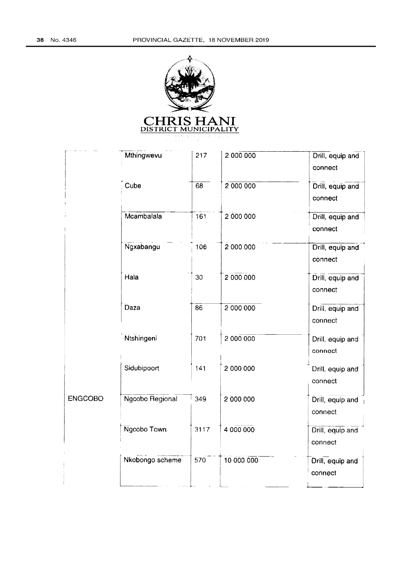

|                | Mthingwevu      | 217             | 2 000 000  | Drill, equip and<br>connect |
|----------------|-----------------|-----------------|------------|-----------------------------|
|                | Cube            | $\overline{68}$ | 2 000 000  | Drill, equip and<br>connect |
|                | Mcambalala      | 161             | 2 000 000  | Drill, equip and<br>connect |
|                | Ngxabangu       | 106             | 2 000 000  | Drill, equip and<br>connect |
|                | Hala            | 30              | 2 000 000  | Drill, equip and<br>connect |
|                | Daza            | 86              | 2 000 000  | Drill, equip and<br>connect |
|                | Ntshingeni      | 701             | 2 000 000  | Drill, equip and<br>connect |
|                | Sidubipoort     | 141             | 2 000 000  | Drill, equip and<br>connect |
| <b>ENGCOBO</b> | Ngcobo Regional | ੋਂ 349          | 2 000 000  | Drill, equip and<br>connect |
|                | Ngcobo Town     | 3117            | 4 000 000  | Drill, equip and<br>connect |
|                | Nkobongo scheme | 570             | 10 000 000 | Drill, equip and<br>connect |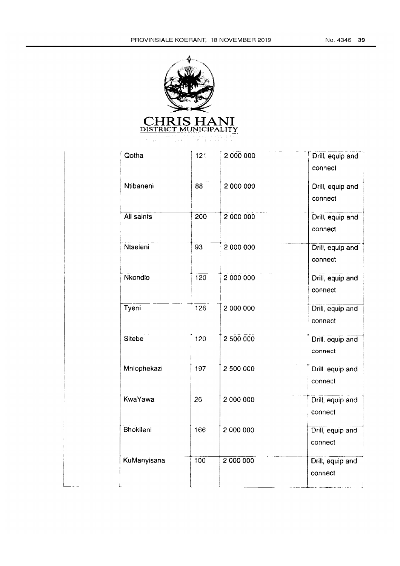



ia a

| Qotha           | 121 | 2 000 000 | Drill, equip and<br>connect |
|-----------------|-----|-----------|-----------------------------|
| Ntibaneni       | 88  | 2 000 000 | Drill, equip and<br>connect |
| All saints      | 200 | 2 000 000 | Drill, equip and<br>connect |
| <b>Ntseleni</b> | 93  | 2 000 000 | Drill, equip and<br>connect |
| Nkondlo         | 120 | 2 000 000 | Drill, equip and<br>connect |
| Tyeni           | 126 | 2 000 000 | Drill, equip and<br>connect |
| <b>Sitebe</b>   | 120 | 2 500 000 | Drill, equip and<br>connect |
| Mhlophekazi     | 197 | 2 500 000 | Drill, equip and<br>connect |
| KwaYawa         | 26  | 2 000 000 | Drill, equip and<br>connect |
| Bhokileni       | 166 | 2 000 000 | Drill, equip and<br>connect |
| KuManyisana     | 100 | 2 000 000 | Drill, equip and<br>connect |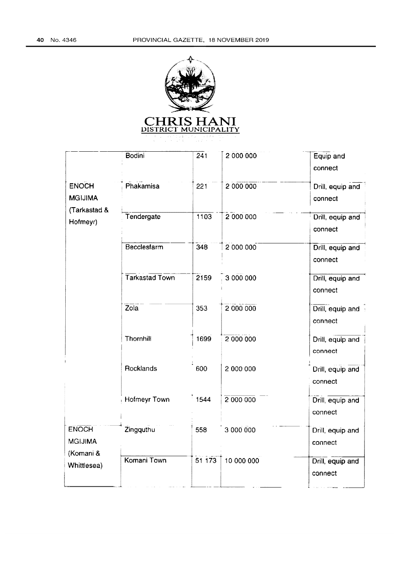

|                                | <b>Bodini</b>                 | 241               | 2 000 000  | Equip and<br>connect        |
|--------------------------------|-------------------------------|-------------------|------------|-----------------------------|
| <b>ENOCH</b><br><b>MGIJIMA</b> | Phakamisa                     | 221               | 2 000 000  | Drill, equip and<br>connect |
| (Tarkastad &<br>Hofmeyr)       | Tendergate                    | 1103              | 2 000 000  | Drill, equip and<br>connect |
|                                | Becclesfarm                   | 348               | 2 000 000  | Drill, equip and<br>connect |
|                                | Tarkastad Town                | 2159              | 3 000 000  | Drill, equip and<br>connect |
|                                | $\overline{z}$ <sub>ola</sub> | 353               | 2 000 000  | Drill, equip and<br>connect |
|                                | Thornhill                     | 1699              | 2 000 000  | Drill, equip and<br>connect |
|                                | Rocklands                     | 600               | 2 000 000  | Drill, equip and<br>connect |
|                                | <b>Hofmeyr Town</b>           | $^{\dagger}$ 1544 | 2 000 000  | Drill, equip and<br>connect |
| <b>ENOCH</b><br><b>MGIJIMA</b> | Zingquthu                     | 558               | 3 000 000  | Drill, equip and<br>connect |
| (Komani &<br>Whittlesea)       | Komani Town                   | 51 173            | 10 000 000 | Drill, equip and<br>connect |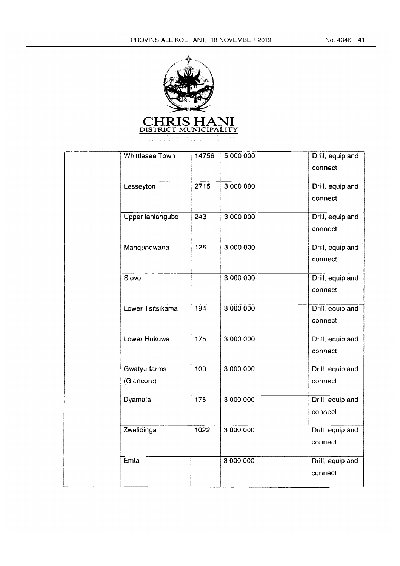



| Whittlesea Town                   | 14756         | 5 000 000 | Drill, equip and<br>connect |
|-----------------------------------|---------------|-----------|-----------------------------|
| Lesseyton                         | 2715          | 3 000 000 | Drill, equip and<br>connect |
| Upper lahlangubo                  | 243           | 3 000 000 | Drill, equip and<br>connect |
| Manqundwana                       | 126           | 3 000 000 | Drill, equip and<br>connect |
| Slovo                             |               | 3 000 000 | Drill, equip and<br>connect |
| Lower Tsitsikama                  | 194           | 3 000 000 | Drill, equip and<br>connect |
| Lower Hukuwa                      | 175           | 3 000 000 | Drill, equip and<br>connect |
| <b>Gwatyu farms</b><br>(Glencore) | 100           | 3 000 000 | Drill, equip and<br>connect |
| Dyamala                           | 175           | 3 000 000 | Drill, equip and<br>connect |
| Zwelidinga                        | $\sqrt{1022}$ | 3 000 000 | Drill, equip and<br>connect |
| Emta                              |               | 3 000 000 | Drill, equip and<br>connect |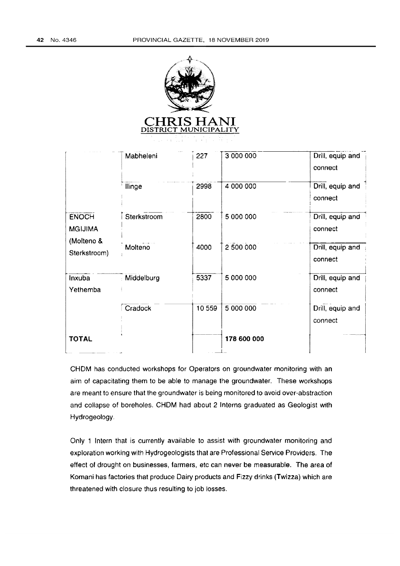

|                                              | Mabheleni   | 227    | 3 000 000   | Drill, equip and<br>connect |
|----------------------------------------------|-------------|--------|-------------|-----------------------------|
|                                              | Ilinge      | 2998   | 4 000 000   | Drill, equip and<br>connect |
| <b>ENOCH</b><br><b>MGIJIMA</b><br>(Molteno & | Sterkstroom | 2800   | 5 000 000   | Drill, equip and<br>connect |
| Sterkstroom)                                 | Molteno     | 4000   | 2 500 000   | Drill, equip and<br>connect |
| Inxuba<br>Yethemba                           | Middelburg  | 5337   | 5 000 000   | Drill, equip and<br>connect |
|                                              | Cradock     | 10 559 | 5 000 000   | Drill, equip and<br>connect |
| <b>TOTAL</b>                                 |             |        | 178 600 000 |                             |

CHDM has conducted workshops for Operators on groundwater monitoring with an aim of capacitating them to be able to manage the groundwater. These workshops are meant to ensure that the groundwater is being monitored to avoid over-abstraction and collapse of boreholes. CHDM had about 2 Interns graduated as Geologist WIth Hydrogeology.

Only 1 Intern that is currently available to assist with groundwater monitoring and exploration working with Hydrogeologists that are Professional Service Providers. The effect of drought on businesses, farmers, etc can never be measurable. The area of Komani has factories that produce Dairy products and Fizzy drinks (Twizza) which are threatened with closure thus resulting to job losses.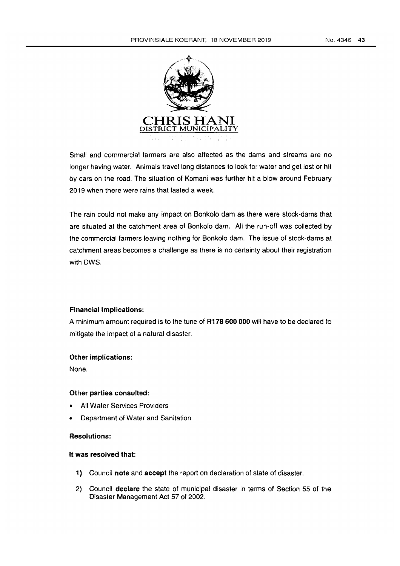

Small and commercial farmers are also affected as the dams and streams are no longer having water. Animals travel long distances to look for water and get lost or hit by cars on the road. The situation of Komani was further hit a blow around February 2019 when there were rains that lasted a week.

The rain could not make any impact on Bonkolo dam as there were stock-dams that are situated at the catchment area of Bonkolo dam. All the run-off was collected by the commercial farmers leaving nothing for Bonkolo dam. The issue of stock-dams at catchment areas becomes a challenge as there is no certainty about their registration with DWS.

#### Financial Implications:

A minimum amount required is to the tune of R178 600 000 will have to be declared to mitigate the impact of a natural disaster,

#### Other implications:

None.

#### Other parties consulted:

- All Water Services Providers
- Department of Water and Sanitation

#### Resolutions:

#### It was resolved that:

- 1) Council note and accept the report on declaration of state of disaster.
- 2) Council declare the state of municipal disaster in terms of Section 55 of the Disaster Management Act 57 of 2002.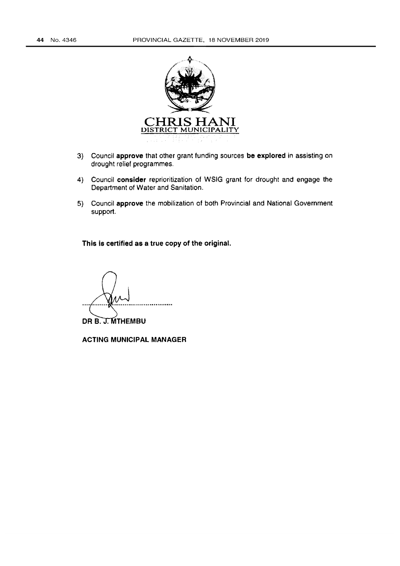

- 3) Council **approve** that other grant funding sources **be explored** in assisting on drought relief programmes.
- 4) Council **consider** reprioritization of WSIG grant for drought and engage the Department of Water and Sanitation.
- 5) Council **approve** the mobilization of both Provincial and National Government support.

**This is certified as a true copy of the original.** 

. . . . . . . . . . . . . . .

DR B. J. MTHEMBU

**ACTING MUNICIPAL MANAGER**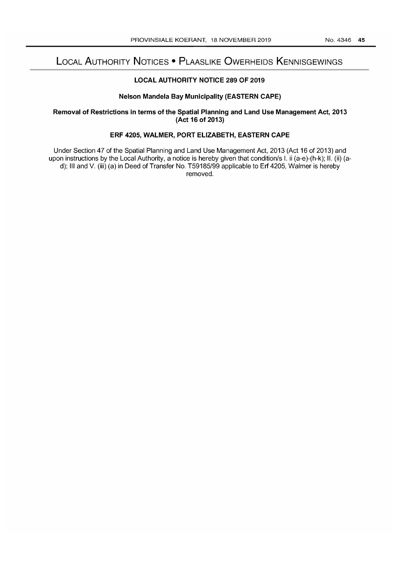# LOCAL AUTHORITY NOTICES • PLAASLIKE OWERHEIDS KENNISGEWINGS

# LOCAL AUTHORITY NOTICE 289 OF 2019

## Nelson Mandela Bay Municipality (EASTERN CAPE)

#### Removal of Restrictions in terms of the Spatial Planning and Land Use Management Act, 2013 (Act 16 of 2013)

#### ERF 4205, WALMER, PORT ELIZABETH, EASTERN CAPE

Under Section 47 of the Spatial Planning and Land Use Management Act, 2013 (Act 16 of 2013) and upon instructions by the Local Authority, a notice is hereby given that condition/s I. ii (a-e)-(h-k); II. (ii) (ad); III and V. (iii) (a) in Deed of Transfer No. T59185/99 applicable to Erf 4205, Walmer is hereby removed.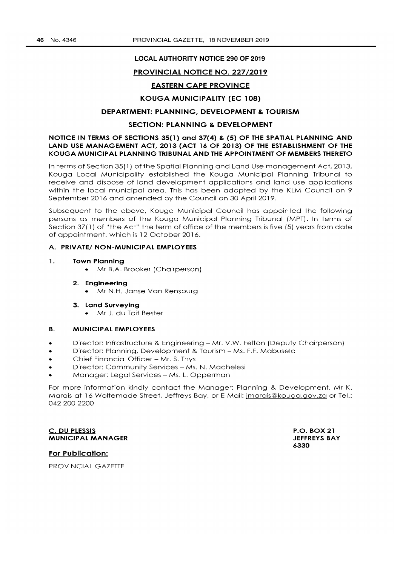#### **LOCAL AUTHORITY NOTICE 290 OF 2019**

### **PROVINCIAL NOTICE NO. 227/2019**

#### **EASTERN CAPE PROVINCE**

#### **KOUGA MUNICIPALITY (EC 108)**

#### **DEPARTMENT: PLANNING, DEVELOPMENT & TOURISM**

## **SECTION: PLANNING & DEVELOPMENT**

#### **NOTICE IN TERMS OF SECTIONS 35(1) and 37(4) & (5) OF THE SPATIAL PLANNING AND LAND USE MANAGEMENT ACT, 2013 (ACT 16 OF 2013) OF THE ESTABLISHMENT OF THE KOUGA MUNICIPAL PLANNING TRIBUNAL AND THE APPOINTMENT OF MEMBERS THERETO**

In terms of Section 35(1) of the Spatial Planning and Land Use management Act, 2013, Kouga Local Municipality established the Kouga Municipal Planning Tribunal to receive and dispose of land development applications and land use applications within the local municipal area. This has been adopted by the KLM Council on 9 September 2016 and amended by the Council on 30 April 2019.

Subsequent to the above, Kouga Municipal Council has appointed the following persons as members of the Kouga Municipal Planning Tribunal (MPT). In terms of Section 37(1) of "the Act" the term of office of the members is five (5) years from date of appointment, which is 12 October 2016.

#### **A. PRIVATE/ NON-MUNICIPAL EMPLOYEES**

#### **1. Town Planning**

- Mr B.A. Brooker (Chairperson)
- **2. Engineering** 
	- Mr N.H. Janse Van Rensburg
- **3. Land Surveying** 
	- Mr J. du Toit Bester

#### **B. MUNICIPAL EMPLOYEES**

- Director: Infrastructure & Engineering Mr. V.W. Felton (Deputy Chairperson)
- Director: Planning, Development & Tourism Ms. F.F. Mabusela
- Chief Financial Officer Mr. S. Thys
- Director: Community Services Ms. N. Machelesi
- Manager: Legal Services Ms. L. Opperman

For more information kindly contact the Manager: Planning & Development, Mr K. Marais at 16 Woltemade Street, Jeffreys Bay, or E-Mail: jmarais@kouqa.qov.za or Tel.: 042 200 2200

**C. DU PLESSIS MUNICIPAL MANAGER**  **P.O. BOX 21 JEFFREYS BAY 6330** 

**For Publication:** 

PROVINCIAL GAZETTE